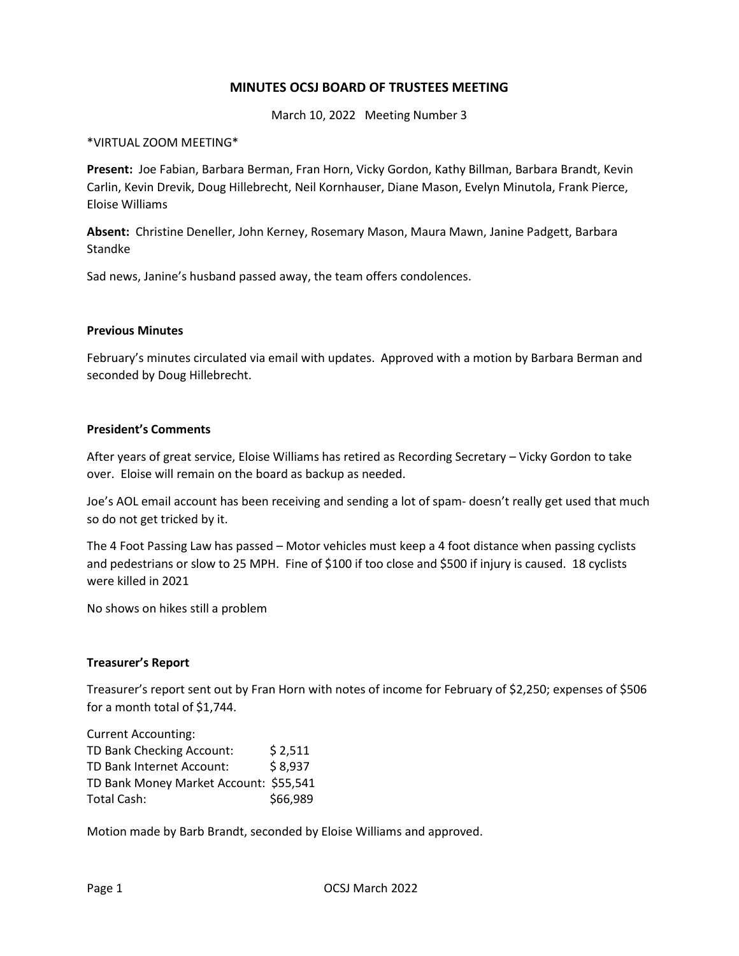# **MINUTES OCSJ BOARD OF TRUSTEES MEETING**

March 10, 2022 Meeting Number 3

#### \*VIRTUAL ZOOM MEETING\*

**Present:** Joe Fabian, Barbara Berman, Fran Horn, Vicky Gordon, Kathy Billman, Barbara Brandt, Kevin Carlin, Kevin Drevik, Doug Hillebrecht, Neil Kornhauser, Diane Mason, Evelyn Minutola, Frank Pierce, Eloise Williams

**Absent:** Christine Deneller, John Kerney, Rosemary Mason, Maura Mawn, Janine Padgett, Barbara Standke

Sad news, Janine's husband passed away, the team offers condolences.

#### **Previous Minutes**

February's minutes circulated via email with updates. Approved with a motion by Barbara Berman and seconded by Doug Hillebrecht.

#### **President's Comments**

After years of great service, Eloise Williams has retired as Recording Secretary – Vicky Gordon to take over. Eloise will remain on the board as backup as needed.

Joe's AOL email account has been receiving and sending a lot of spam- doesn't really get used that much so do not get tricked by it.

The 4 Foot Passing Law has passed – Motor vehicles must keep a 4 foot distance when passing cyclists and pedestrians or slow to 25 MPH. Fine of \$100 if too close and \$500 if injury is caused. 18 cyclists were killed in 2021

No shows on hikes still a problem

#### **Treasurer's Report**

Treasurer's report sent out by Fran Horn with notes of income for February of \$2,250; expenses of \$506 for a month total of \$1,744.

Current Accounting: TD Bank Checking Account: \$ 2,511 TD Bank Internet Account: \$ 8,937 TD Bank Money Market Account: \$55,541 Total Cash:  $\frac{1}{2}$  \$66,989

Motion made by Barb Brandt, seconded by Eloise Williams and approved.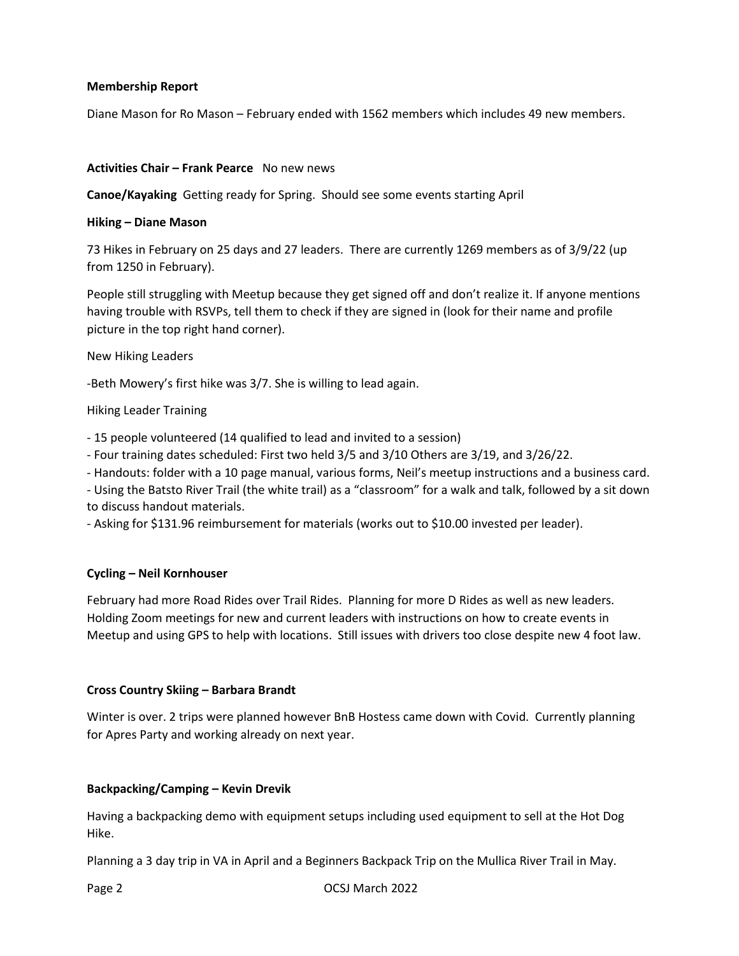#### **Membership Report**

Diane Mason for Ro Mason – February ended with 1562 members which includes 49 new members.

#### **Activities Chair – Frank Pearce** No new news

**Canoe/Kayaking** Getting ready for Spring. Should see some events starting April

#### **Hiking – Diane Mason**

73 Hikes in February on 25 days and 27 leaders. There are currently 1269 members as of 3/9/22 (up from 1250 in February).

People still struggling with Meetup because they get signed off and don't realize it. If anyone mentions having trouble with RSVPs, tell them to check if they are signed in (look for their name and profile picture in the top right hand corner).

New Hiking Leaders

-Beth Mowery's first hike was 3/7. She is willing to lead again.

Hiking Leader Training

- 15 people volunteered (14 qualified to lead and invited to a session)

- Four training dates scheduled: First two held 3/5 and 3/10 Others are 3/19, and 3/26/22.

- Handouts: folder with a 10 page manual, various forms, Neil's meetup instructions and a business card.

- Using the Batsto River Trail (the white trail) as a "classroom" for a walk and talk, followed by a sit down to discuss handout materials.

- Asking for \$131.96 reimbursement for materials (works out to \$10.00 invested per leader).

# **Cycling – Neil Kornhouser**

February had more Road Rides over Trail Rides. Planning for more D Rides as well as new leaders. Holding Zoom meetings for new and current leaders with instructions on how to create events in Meetup and using GPS to help with locations. Still issues with drivers too close despite new 4 foot law.

# **Cross Country Skiing – Barbara Brandt**

Winter is over. 2 trips were planned however BnB Hostess came down with Covid. Currently planning for Apres Party and working already on next year.

# **Backpacking/Camping – Kevin Drevik**

Having a backpacking demo with equipment setups including used equipment to sell at the Hot Dog Hike.

Planning a 3 day trip in VA in April and a Beginners Backpack Trip on the Mullica River Trail in May.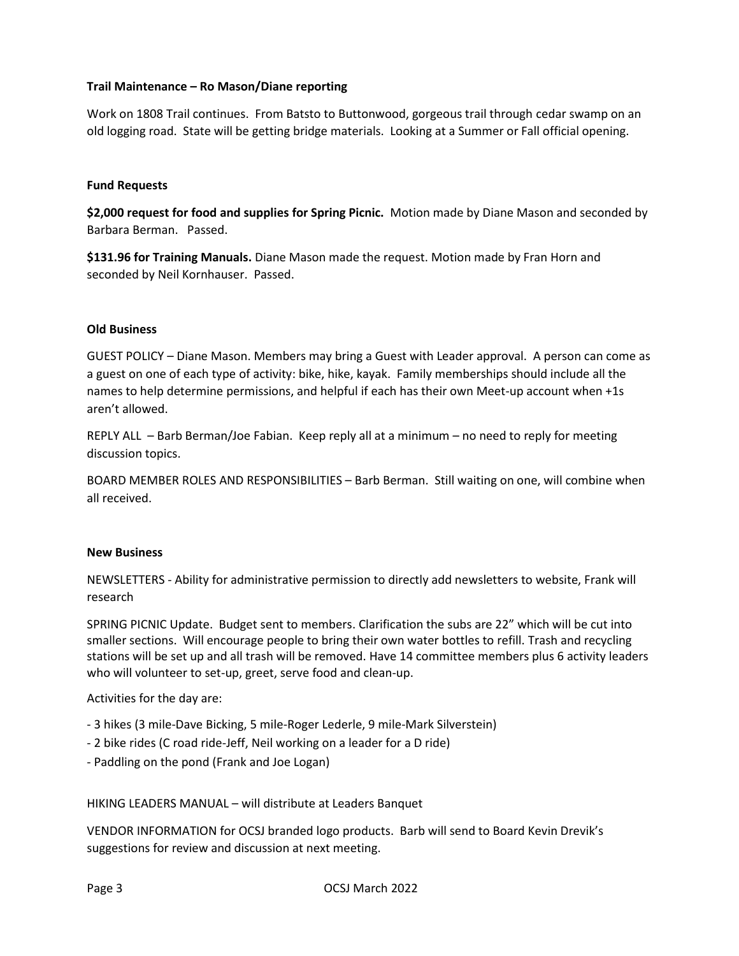# **Trail Maintenance – Ro Mason/Diane reporting**

Work on 1808 Trail continues. From Batsto to Buttonwood, gorgeous trail through cedar swamp on an old logging road. State will be getting bridge materials. Looking at a Summer or Fall official opening.

#### **Fund Requests**

**\$2,000 request for food and supplies for Spring Picnic.** Motion made by Diane Mason and seconded by Barbara Berman. Passed.

**\$131.96 for Training Manuals.** Diane Mason made the request. Motion made by Fran Horn and seconded by Neil Kornhauser. Passed.

# **Old Business**

GUEST POLICY – Diane Mason. Members may bring a Guest with Leader approval. A person can come as a guest on one of each type of activity: bike, hike, kayak. Family memberships should include all the names to help determine permissions, and helpful if each has their own Meet-up account when +1s aren't allowed.

REPLY ALL – Barb Berman/Joe Fabian. Keep reply all at a minimum – no need to reply for meeting discussion topics.

BOARD MEMBER ROLES AND RESPONSIBILITIES – Barb Berman. Still waiting on one, will combine when all received.

#### **New Business**

NEWSLETTERS - Ability for administrative permission to directly add newsletters to website, Frank will research

SPRING PICNIC Update. Budget sent to members. Clarification the subs are 22" which will be cut into smaller sections. Will encourage people to bring their own water bottles to refill. Trash and recycling stations will be set up and all trash will be removed. Have 14 committee members plus 6 activity leaders who will volunteer to set-up, greet, serve food and clean-up.

Activities for the day are:

- 3 hikes (3 mile-Dave Bicking, 5 mile-Roger Lederle, 9 mile-Mark Silverstein)
- 2 bike rides (C road ride-Jeff, Neil working on a leader for a D ride)
- Paddling on the pond (Frank and Joe Logan)

HIKING LEADERS MANUAL – will distribute at Leaders Banquet

VENDOR INFORMATION for OCSJ branded logo products. Barb will send to Board Kevin Drevik's suggestions for review and discussion at next meeting.